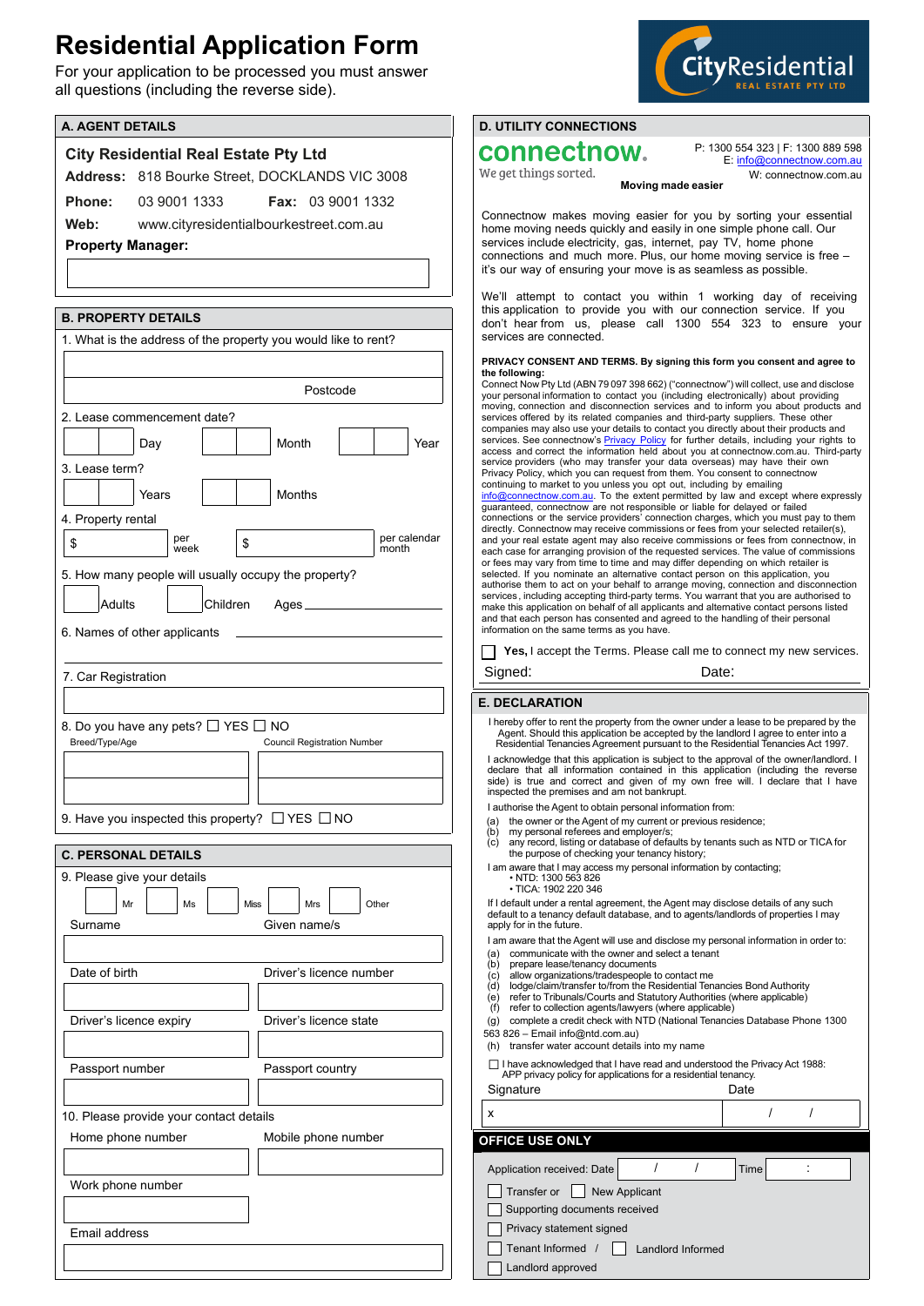## **Residential Application Form**

For your application to be processed you must answer all questions (including the reverse side).



| <b>A. AGENT DETAILS</b>                                        | <b>D. UTILITY CONNECTIONS</b>                                                                                                                                                                               |  |
|----------------------------------------------------------------|-------------------------------------------------------------------------------------------------------------------------------------------------------------------------------------------------------------|--|
| <b>City Residential Real Estate Pty Ltd</b>                    | connectnow.<br>P: 1300 554 323   F: 1300 889 598                                                                                                                                                            |  |
| Address: 818 Bourke Street, DOCKLANDS VIC 3008                 | E: info@connectnow.com.au<br>We get things sorted.<br>W: connectnow.com.au                                                                                                                                  |  |
| 03 9001 1333<br><b>Fax: 03 9001 1332</b><br>Phone:             | Moving made easier                                                                                                                                                                                          |  |
|                                                                | Connectnow makes moving easier for you by sorting your essential                                                                                                                                            |  |
| Web:<br>www.cityresidentialbourkestreet.com.au                 | home moving needs quickly and easily in one simple phone call. Our<br>services include electricity, gas, internet, pay TV, home phone<br>connections and much more. Plus, our home moving service is free - |  |
| <b>Property Manager:</b>                                       |                                                                                                                                                                                                             |  |
|                                                                | it's our way of ensuring your move is as seamless as possible.                                                                                                                                              |  |
|                                                                | We'll attempt to contact you within 1 working day of receiving                                                                                                                                              |  |
| <b>B. PROPERTY DETAILS</b>                                     | this application to provide you with our connection service. If you<br>don't hear from us, please call 1300 554 323 to ensure your                                                                          |  |
| 1. What is the address of the property you would like to rent? | services are connected.                                                                                                                                                                                     |  |
|                                                                | PRIVACY CONSENT AND TERMS. By signing this form you consent and agree to<br>the following:                                                                                                                  |  |
| Postcode                                                       | Connect Now Pty Ltd (ABN 79 097 398 662) ("connectnow") will collect, use and disclose<br>your personal information to contact you (including electronically) about providing                               |  |
| 2. Lease commencement date?                                    | moving, connection and disconnection services and to inform you about products and<br>services offered by its related companies and third-party suppliers. These other                                      |  |
| Month<br>Year                                                  | companies may also use your details to contact you directly about their products and<br>services. See connectnow's <b>Privacy Policy</b> for further details, including your rights to                      |  |
| Day                                                            | access and correct the information held about you at connectnow.com.au. Third-party<br>service providers (who may transfer your data overseas) may have their own                                           |  |
| 3. Lease term?                                                 | Privacy Policy, which you can request from them. You consent to connectnow<br>continuing to market to you unless you opt out, including by emailing                                                         |  |
| <b>Months</b><br>Years                                         | info@connectnow.com.au. To the extent permitted by law and except where expressly<br>quaranteed, connectnow are not responsible or liable for delayed or failed                                             |  |
| 4. Property rental                                             | connections or the service providers' connection charges, which you must pay to them<br>directly. Connectnow may receive commissions or fees from your selected retailer(s),                                |  |
| per calendar<br>per<br>\$<br>\$<br>week<br>month               | and your real estate agent may also receive commissions or fees from connectnow, in<br>each case for arranging provision of the requested services. The value of commissions                                |  |
| 5. How many people will usually occupy the property?           | or fees may vary from time to time and may differ depending on which retailer is<br>selected. If you nominate an alternative contact person on this application, you                                        |  |
|                                                                | authorise them to act on your behalf to arrange moving, connection and disconnection<br>services, including accepting third-party terms. You warrant that you are authorised to                             |  |
| Adults<br>Children                                             | make this application on behalf of all applicants and alternative contact persons listed<br>and that each person has consented and agreed to the handling of their personal                                 |  |
| 6. Names of other applicants                                   | information on the same terms as you have.                                                                                                                                                                  |  |
|                                                                | Yes, I accept the Terms. Please call me to connect my new services.                                                                                                                                         |  |
| 7. Car Registration                                            | Signed:<br>Date:                                                                                                                                                                                            |  |
|                                                                | <b>E. DECLARATION</b>                                                                                                                                                                                       |  |
| 8. Do you have any pets? □ YES □ NO                            | I hereby offer to rent the property from the owner under a lease to be prepared by the<br>Agent. Should this application be accepted by the landlord I agree to enter into a                                |  |
| Breed/Type/Age<br><b>Council Registration Number</b>           | Residential Tenancies Agreement pursuant to the Residential Tenancies Act 1997.<br>I acknowledge that this application is subject to the approval of the owner/landlord. I                                  |  |
|                                                                | declare that all information contained in this application (including the reverse<br>side) is true and correct and given of my own free will. I declare that I have                                         |  |
|                                                                | inspected the premises and am not bankrupt.<br>I authorise the Agent to obtain personal information from:                                                                                                   |  |
| 9. Have you inspected this property? $\Box$ YES $\Box$ NO      | the owner or the Agent of my current or previous residence;<br>(a)                                                                                                                                          |  |
|                                                                | my personal referees and employer/s;<br>(b)<br>any record, listing or database of defaults by tenants such as NTD or TICA for<br>(c)                                                                        |  |
| <b>C. PERSONAL DETAILS</b>                                     | the purpose of checking your tenancy history;<br>I am aware that I may access my personal information by contacting;                                                                                        |  |
| 9. Please give your details                                    | • NTD: 1300 563 826<br>· TICA: 1902 220 346                                                                                                                                                                 |  |
| Mr<br>Ms<br>Miss<br>Mrs<br>Other                               | If I default under a rental agreement, the Agent may disclose details of any such<br>default to a tenancy default database, and to agents/landlords of properties I may                                     |  |
| Surname<br>Given name/s                                        | apply for in the future.                                                                                                                                                                                    |  |
|                                                                | I am aware that the Agent will use and disclose my personal information in order to:<br>communicate with the owner and select a tenant<br>(a)                                                               |  |
| Date of birth<br>Driver's licence number                       | (b)<br>prepare lease/tenancy documents<br>allow organizations/tradespeople to contact me<br>(c)<br>lodge/claim/transfer to/from the Residential Tenancies Bond Authority                                    |  |
|                                                                | (d)<br>refer to Tribunals/Courts and Statutory Authorities (where applicable)<br>(e)                                                                                                                        |  |
| Driver's licence state<br>Driver's licence expiry              | refer to collection agents/lawyers (where applicable)<br>(f)<br>complete a credit check with NTD (National Tenancies Database Phone 1300<br>$\left( q\right)$                                               |  |
|                                                                | 563 826 - Email info@ntd.com.au)<br>(h) transfer water account details into my name                                                                                                                         |  |
| Passport number<br>Passport country                            | □ I have acknowledged that I have read and understood the Privacy Act 1988:                                                                                                                                 |  |
|                                                                | APP privacy policy for applications for a residential tenancy.<br>Date<br>Signature                                                                                                                         |  |
| 10. Please provide your contact details                        | $\prime$<br>$\prime$<br>х                                                                                                                                                                                   |  |
| Home phone number<br>Mobile phone number                       | OFFICE USE ONLY                                                                                                                                                                                             |  |
|                                                                |                                                                                                                                                                                                             |  |
| Work phone number                                              | $\prime$<br>$\prime$<br>Application received: Date<br>Time                                                                                                                                                  |  |
|                                                                | Transfer or<br><b>New Applicant</b>                                                                                                                                                                         |  |
|                                                                | Supporting documents received<br>Privacy statement signed                                                                                                                                                   |  |
| Email address                                                  | Tenant Informed<br><b>Landlord Informed</b>                                                                                                                                                                 |  |
|                                                                | Landlord approved                                                                                                                                                                                           |  |